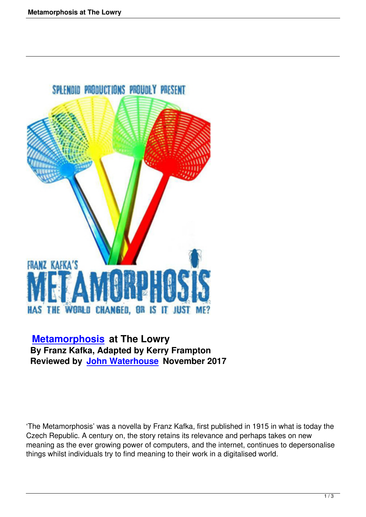

 **Metamorphosis at The Lowry By Franz Kafka, Adapted by Kerry Frampton [Reviewed by John](metamorphosis-at-the-lowry.html) Waterhouse November 2017**

'The Metamorphosis' was a novella by Franz Kafka, first published in 1915 in what is today the Czech Republic. A century on, the story retains its relevance and perhaps takes on new meaning as the ever growing power of computers, and the internet, continues to depersonalise things whilst individuals try to find meaning to their work in a digitalised world.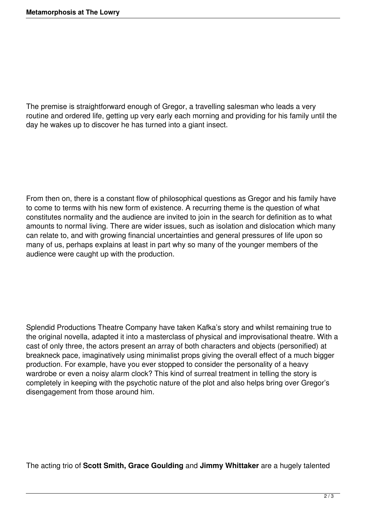The premise is straightforward enough of Gregor, a travelling salesman who leads a very routine and ordered life, getting up very early each morning and providing for his family until the day he wakes up to discover he has turned into a giant insect.

From then on, there is a constant flow of philosophical questions as Gregor and his family have to come to terms with his new form of existence. A recurring theme is the question of what constitutes normality and the audience are invited to join in the search for definition as to what amounts to normal living. There are wider issues, such as isolation and dislocation which many can relate to, and with growing financial uncertainties and general pressures of life upon so many of us, perhaps explains at least in part why so many of the younger members of the audience were caught up with the production.

Splendid Productions Theatre Company have taken Kafka's story and whilst remaining true to the original novella, adapted it into a masterclass of physical and improvisational theatre. With a cast of only three, the actors present an array of both characters and objects (personified) at breakneck pace, imaginatively using minimalist props giving the overall effect of a much bigger production. For example, have you ever stopped to consider the personality of a heavy wardrobe or even a noisy alarm clock? This kind of surreal treatment in telling the story is completely in keeping with the psychotic nature of the plot and also helps bring over Gregor's disengagement from those around him.

The acting trio of **Scott Smith, Grace Goulding** and **Jimmy Whittaker** are a hugely talented